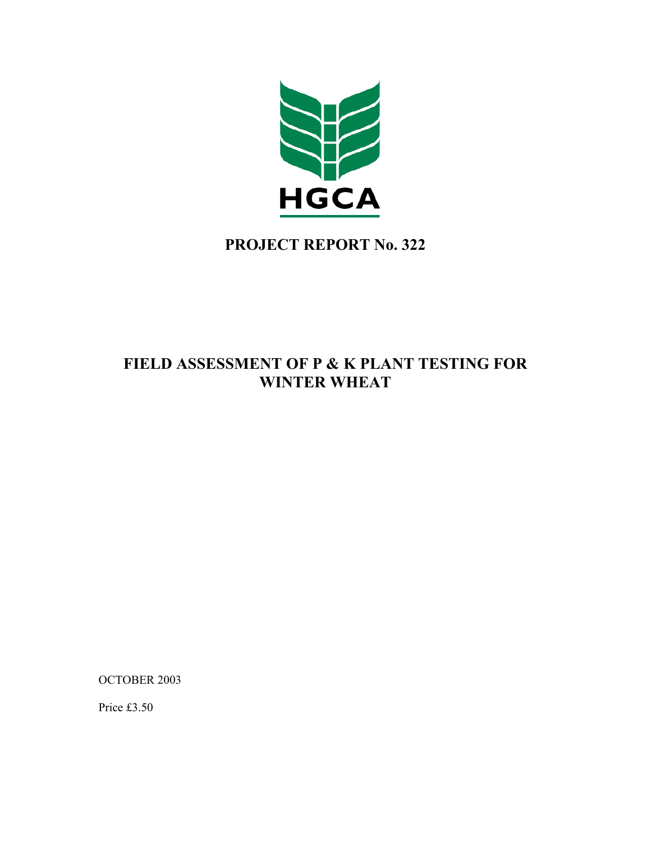

# **PROJECT REPORT No. 322**

# **FIELD ASSESSMENT OF P & K PLANT TESTING FOR WINTER WHEAT**

OCTOBER 2003

Price £3.50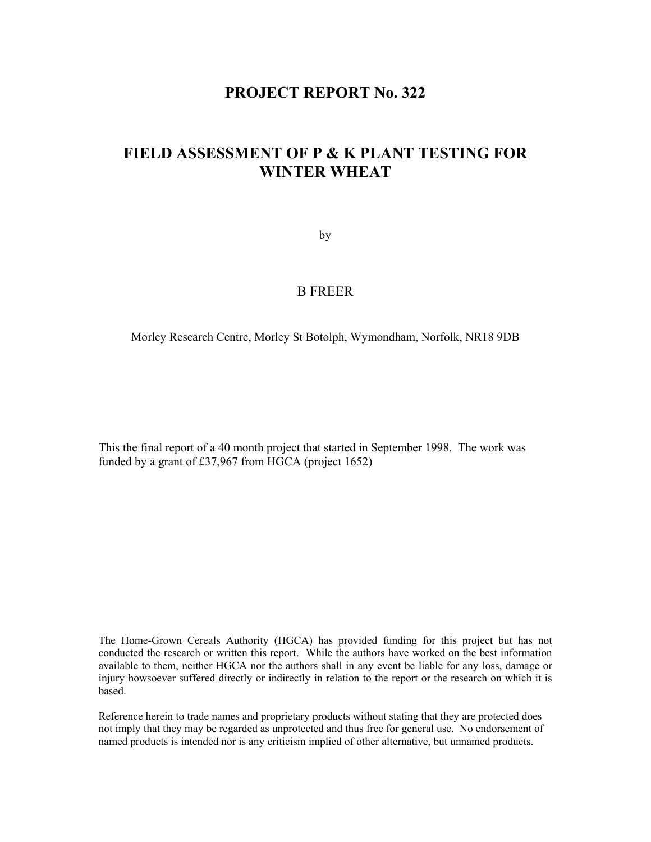# **PROJECT REPORT No. 322**

# **FIELD ASSESSMENT OF P & K PLANT TESTING FOR WINTER WHEAT**

by

## B FREER

Morley Research Centre, Morley St Botolph, Wymondham, Norfolk, NR18 9DB

This the final report of a 40 month project that started in September 1998. The work was funded by a grant of £37,967 from HGCA (project 1652)

The Home-Grown Cereals Authority (HGCA) has provided funding for this project but has not conducted the research or written this report. While the authors have worked on the best information available to them, neither HGCA nor the authors shall in any event be liable for any loss, damage or injury howsoever suffered directly or indirectly in relation to the report or the research on which it is based.

Reference herein to trade names and proprietary products without stating that they are protected does not imply that they may be regarded as unprotected and thus free for general use. No endorsement of named products is intended nor is any criticism implied of other alternative, but unnamed products.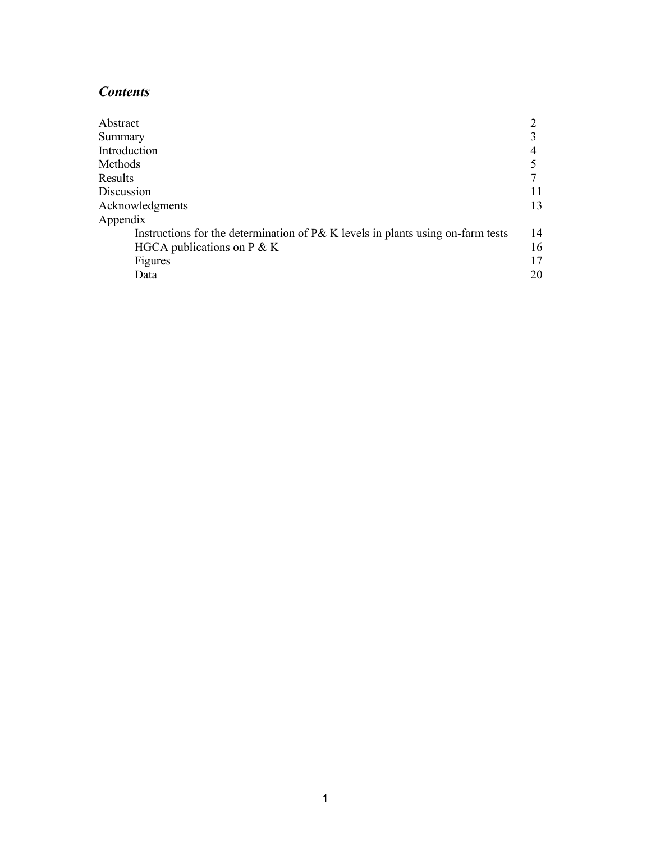# *Contents*

| Abstract                                                                          |    |
|-----------------------------------------------------------------------------------|----|
| Summary                                                                           |    |
| Introduction                                                                      |    |
| Methods                                                                           |    |
| Results                                                                           |    |
| Discussion                                                                        |    |
| Acknowledgments                                                                   | 13 |
| Appendix                                                                          |    |
| Instructions for the determination of $P\&K$ levels in plants using on-farm tests | 14 |
| HGCA publications on $P \& K$                                                     | 16 |
| Figures                                                                           | 17 |
| Data                                                                              | 20 |
|                                                                                   |    |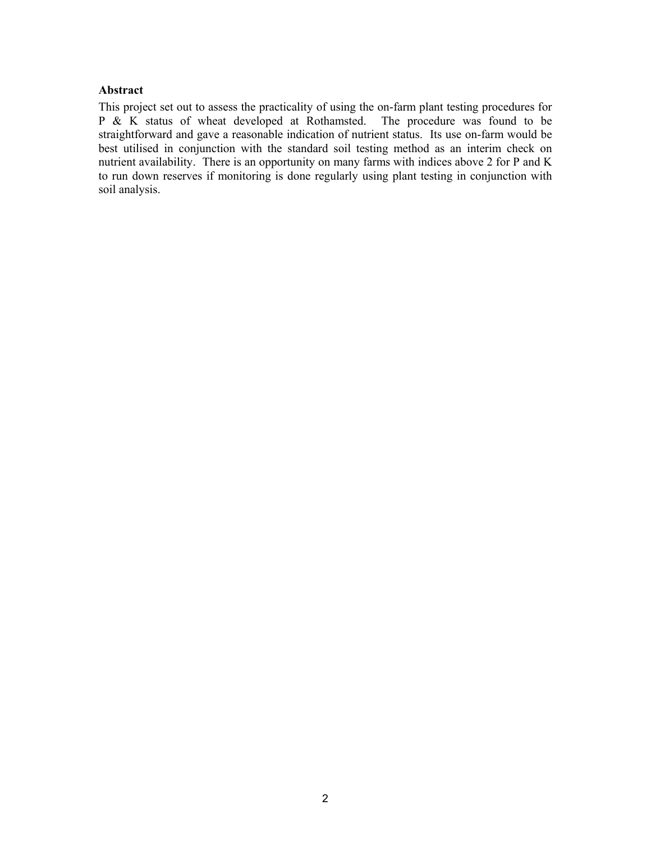## **Abstract**

This project set out to assess the practicality of using the on-farm plant testing procedures for P & K status of wheat developed at Rothamsted. The procedure was found to be straightforward and gave a reasonable indication of nutrient status. Its use on-farm would be best utilised in conjunction with the standard soil testing method as an interim check on nutrient availability. There is an opportunity on many farms with indices above 2 for P and K to run down reserves if monitoring is done regularly using plant testing in conjunction with soil analysis.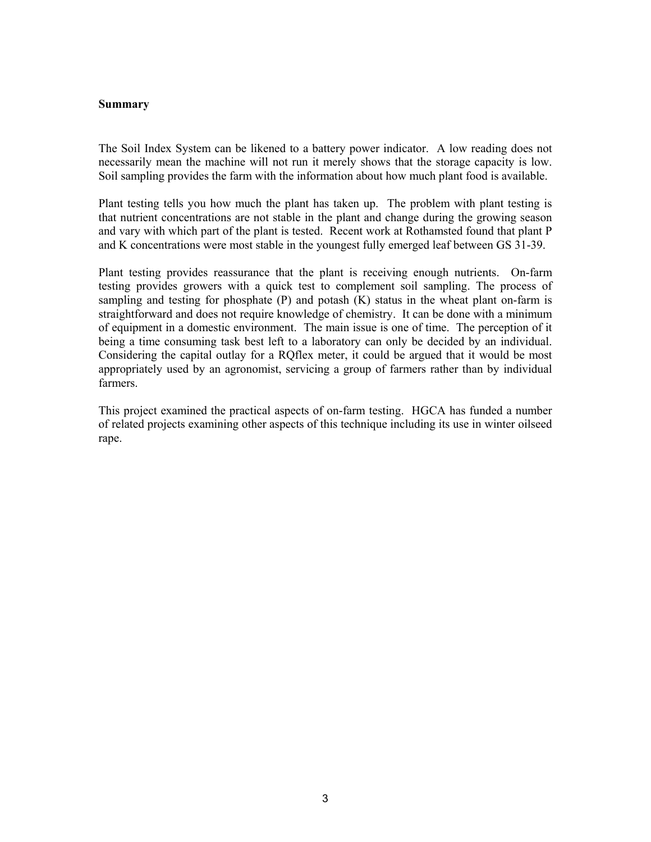#### **Summary**

The Soil Index System can be likened to a battery power indicator. A low reading does not necessarily mean the machine will not run it merely shows that the storage capacity is low. Soil sampling provides the farm with the information about how much plant food is available.

Plant testing tells you how much the plant has taken up. The problem with plant testing is that nutrient concentrations are not stable in the plant and change during the growing season and vary with which part of the plant is tested. Recent work at Rothamsted found that plant P and K concentrations were most stable in the youngest fully emerged leaf between GS 31-39.

Plant testing provides reassurance that the plant is receiving enough nutrients. On-farm testing provides growers with a quick test to complement soil sampling. The process of sampling and testing for phosphate  $(P)$  and potash  $(K)$  status in the wheat plant on-farm is straightforward and does not require knowledge of chemistry. It can be done with a minimum of equipment in a domestic environment. The main issue is one of time. The perception of it being a time consuming task best left to a laboratory can only be decided by an individual. Considering the capital outlay for a RQflex meter, it could be argued that it would be most appropriately used by an agronomist, servicing a group of farmers rather than by individual farmers.

This project examined the practical aspects of on-farm testing. HGCA has funded a number of related projects examining other aspects of this technique including its use in winter oilseed rape.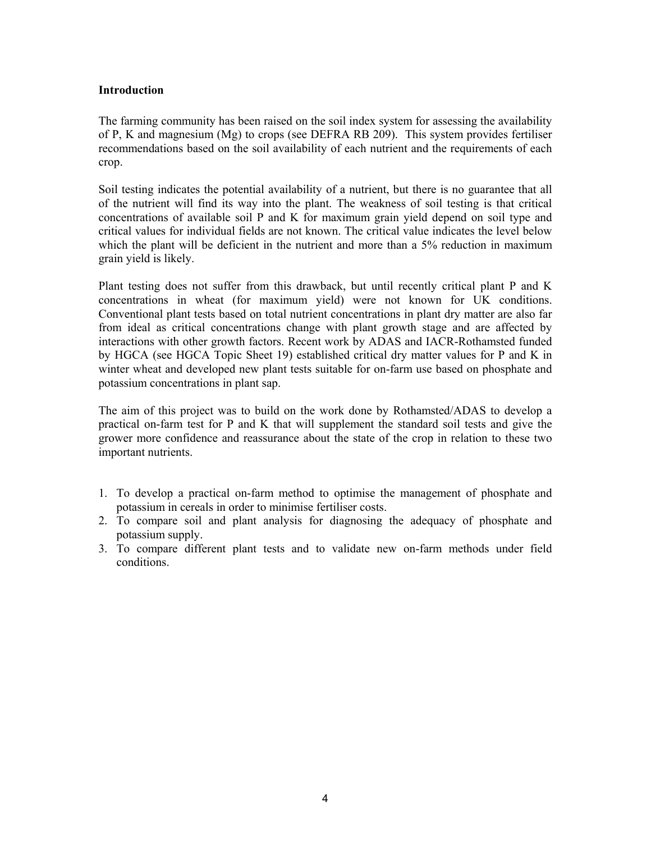## **Introduction**

The farming community has been raised on the soil index system for assessing the availability of P, K and magnesium (Mg) to crops (see DEFRA RB 209). This system provides fertiliser recommendations based on the soil availability of each nutrient and the requirements of each crop.

Soil testing indicates the potential availability of a nutrient, but there is no guarantee that all of the nutrient will find its way into the plant. The weakness of soil testing is that critical concentrations of available soil P and K for maximum grain yield depend on soil type and critical values for individual fields are not known. The critical value indicates the level below which the plant will be deficient in the nutrient and more than a 5% reduction in maximum grain yield is likely.

Plant testing does not suffer from this drawback, but until recently critical plant P and K concentrations in wheat (for maximum yield) were not known for UK conditions. Conventional plant tests based on total nutrient concentrations in plant dry matter are also far from ideal as critical concentrations change with plant growth stage and are affected by interactions with other growth factors. Recent work by ADAS and IACR-Rothamsted funded by HGCA (see HGCA Topic Sheet 19) established critical dry matter values for P and K in winter wheat and developed new plant tests suitable for on-farm use based on phosphate and potassium concentrations in plant sap.

The aim of this project was to build on the work done by Rothamsted/ADAS to develop a practical on-farm test for P and K that will supplement the standard soil tests and give the grower more confidence and reassurance about the state of the crop in relation to these two important nutrients.

- 1. To develop a practical on-farm method to optimise the management of phosphate and potassium in cereals in order to minimise fertiliser costs.
- 2. To compare soil and plant analysis for diagnosing the adequacy of phosphate and potassium supply.
- 3. To compare different plant tests and to validate new on-farm methods under field conditions.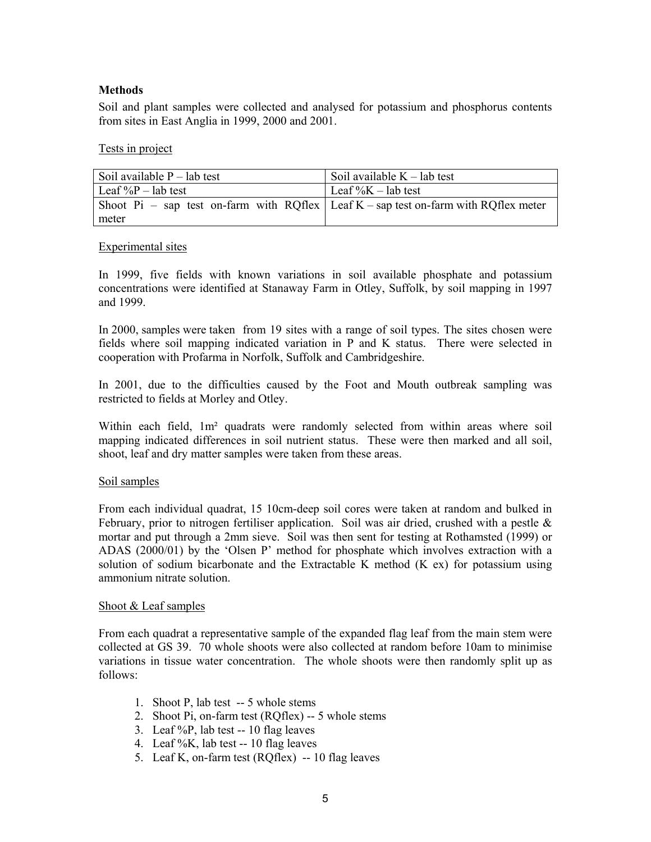## **Methods**

Soil and plant samples were collected and analysed for potassium and phosphorus contents from sites in East Anglia in 1999, 2000 and 2001.

#### Tests in project

| Soil available $P$ – lab test                                                       | Soil available $K$ – lab test |
|-------------------------------------------------------------------------------------|-------------------------------|
| Leaf $\%P$ – lab test                                                               | Leaf $\%K$ – lab test         |
| Shoot Pi – sap test on-farm with RQflex Leaf K – sap test on-farm with RQflex meter |                               |
| meter                                                                               |                               |

#### Experimental sites

In 1999, five fields with known variations in soil available phosphate and potassium concentrations were identified at Stanaway Farm in Otley, Suffolk, by soil mapping in 1997 and 1999.

In 2000, samples were taken from 19 sites with a range of soil types. The sites chosen were fields where soil mapping indicated variation in P and K status. There were selected in cooperation with Profarma in Norfolk, Suffolk and Cambridgeshire.

In 2001, due to the difficulties caused by the Foot and Mouth outbreak sampling was restricted to fields at Morley and Otley.

Within each field, 1m² quadrats were randomly selected from within areas where soil mapping indicated differences in soil nutrient status. These were then marked and all soil, shoot, leaf and dry matter samples were taken from these areas.

## Soil samples

From each individual quadrat, 15 10cm-deep soil cores were taken at random and bulked in February, prior to nitrogen fertiliser application. Soil was air dried, crushed with a pestle  $\&$ mortar and put through a 2mm sieve. Soil was then sent for testing at Rothamsted (1999) or ADAS (2000/01) by the 'Olsen P' method for phosphate which involves extraction with a solution of sodium bicarbonate and the Extractable K method (K ex) for potassium using ammonium nitrate solution.

#### Shoot & Leaf samples

From each quadrat a representative sample of the expanded flag leaf from the main stem were collected at GS 39. 70 whole shoots were also collected at random before 10am to minimise variations in tissue water concentration. The whole shoots were then randomly split up as follows:

- 1. Shoot P, lab test -- 5 whole stems
- 2. Shoot Pi, on-farm test (RQflex) -- 5 whole stems
- 3. Leaf %P, lab test -- 10 flag leaves
- 4. Leaf %K, lab test -- 10 flag leaves
- 5. Leaf K, on-farm test (RQflex) -- 10 flag leaves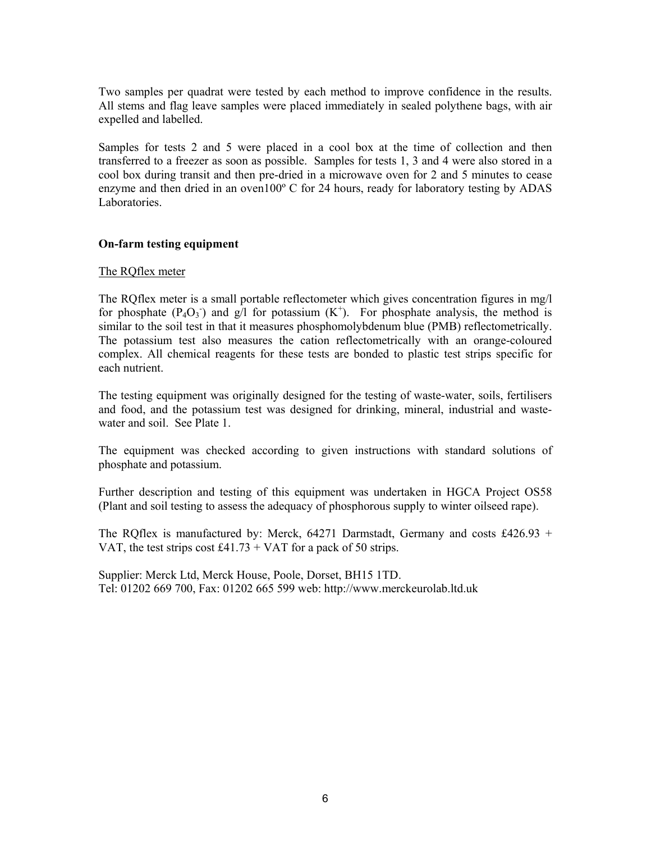Two samples per quadrat were tested by each method to improve confidence in the results. All stems and flag leave samples were placed immediately in sealed polythene bags, with air expelled and labelled.

Samples for tests 2 and 5 were placed in a cool box at the time of collection and then transferred to a freezer as soon as possible. Samples for tests 1, 3 and 4 were also stored in a cool box during transit and then pre-dried in a microwave oven for 2 and 5 minutes to cease enzyme and then dried in an oven100º C for 24 hours, ready for laboratory testing by ADAS Laboratories.

## **On-farm testing equipment**

## The RQflex meter

The RQflex meter is a small portable reflectometer which gives concentration figures in mg/l for phosphate  $(P_4O_3^-)$  and  $g/l$  for potassium  $(K^+)$ . For phosphate analysis, the method is similar to the soil test in that it measures phosphomolybdenum blue (PMB) reflectometrically. The potassium test also measures the cation reflectometrically with an orange-coloured complex. All chemical reagents for these tests are bonded to plastic test strips specific for each nutrient.

The testing equipment was originally designed for the testing of waste-water, soils, fertilisers and food, and the potassium test was designed for drinking, mineral, industrial and wastewater and soil. See Plate 1.

The equipment was checked according to given instructions with standard solutions of phosphate and potassium.

Further description and testing of this equipment was undertaken in HGCA Project OS58 (Plant and soil testing to assess the adequacy of phosphorous supply to winter oilseed rape).

The RQflex is manufactured by: Merck,  $64271$  Darmstadt, Germany and costs £426.93 + VAT, the test strips cost £41.73 + VAT for a pack of 50 strips.

Supplier: Merck Ltd, Merck House, Poole, Dorset, BH15 1TD. Tel: 01202 669 700, Fax: 01202 665 599 web: http://www.merckeurolab.ltd.uk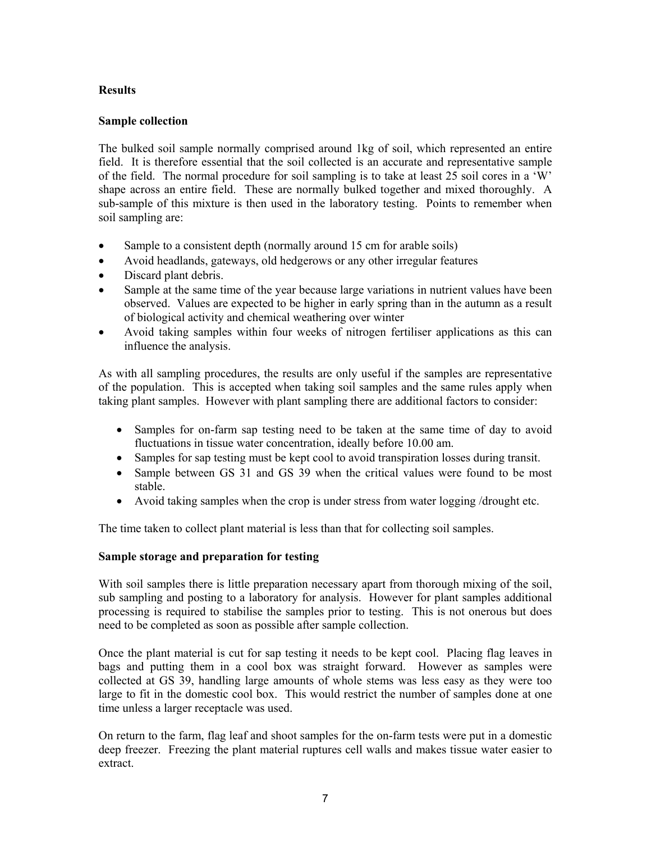# **Results**

## **Sample collection**

The bulked soil sample normally comprised around 1kg of soil, which represented an entire field. It is therefore essential that the soil collected is an accurate and representative sample of the field. The normal procedure for soil sampling is to take at least 25 soil cores in a 'W' shape across an entire field. These are normally bulked together and mixed thoroughly. A sub-sample of this mixture is then used in the laboratory testing. Points to remember when soil sampling are:

- Sample to a consistent depth (normally around 15 cm for arable soils)
- Avoid headlands, gateways, old hedgerows or any other irregular features
- Discard plant debris.
- Sample at the same time of the year because large variations in nutrient values have been observed. Values are expected to be higher in early spring than in the autumn as a result of biological activity and chemical weathering over winter
- Avoid taking samples within four weeks of nitrogen fertiliser applications as this can influence the analysis.

As with all sampling procedures, the results are only useful if the samples are representative of the population. This is accepted when taking soil samples and the same rules apply when taking plant samples. However with plant sampling there are additional factors to consider:

- Samples for on-farm sap testing need to be taken at the same time of day to avoid fluctuations in tissue water concentration, ideally before 10.00 am.
- Samples for sap testing must be kept cool to avoid transpiration losses during transit.
- Sample between GS 31 and GS 39 when the critical values were found to be most stable.
- Avoid taking samples when the crop is under stress from water logging /drought etc.

The time taken to collect plant material is less than that for collecting soil samples.

## **Sample storage and preparation for testing**

With soil samples there is little preparation necessary apart from thorough mixing of the soil, sub sampling and posting to a laboratory for analysis. However for plant samples additional processing is required to stabilise the samples prior to testing. This is not onerous but does need to be completed as soon as possible after sample collection.

Once the plant material is cut for sap testing it needs to be kept cool. Placing flag leaves in bags and putting them in a cool box was straight forward. However as samples were collected at GS 39, handling large amounts of whole stems was less easy as they were too large to fit in the domestic cool box. This would restrict the number of samples done at one time unless a larger receptacle was used.

On return to the farm, flag leaf and shoot samples for the on-farm tests were put in a domestic deep freezer. Freezing the plant material ruptures cell walls and makes tissue water easier to extract.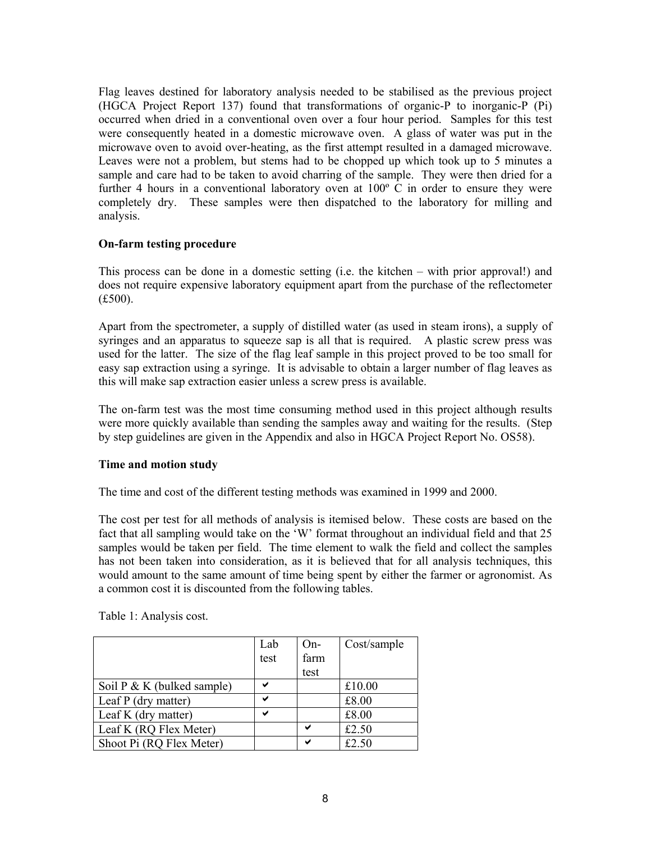Flag leaves destined for laboratory analysis needed to be stabilised as the previous project (HGCA Project Report 137) found that transformations of organic-P to inorganic-P (Pi) occurred when dried in a conventional oven over a four hour period. Samples for this test were consequently heated in a domestic microwave oven. A glass of water was put in the microwave oven to avoid over-heating, as the first attempt resulted in a damaged microwave. Leaves were not a problem, but stems had to be chopped up which took up to 5 minutes a sample and care had to be taken to avoid charring of the sample. They were then dried for a further 4 hours in a conventional laboratory oven at 100º C in order to ensure they were completely dry. These samples were then dispatched to the laboratory for milling and analysis.

## **On-farm testing procedure**

This process can be done in a domestic setting (i.e. the kitchen – with prior approval!) and does not require expensive laboratory equipment apart from the purchase of the reflectometer (£500).

Apart from the spectrometer, a supply of distilled water (as used in steam irons), a supply of syringes and an apparatus to squeeze sap is all that is required. A plastic screw press was used for the latter. The size of the flag leaf sample in this project proved to be too small for easy sap extraction using a syringe. It is advisable to obtain a larger number of flag leaves as this will make sap extraction easier unless a screw press is available.

The on-farm test was the most time consuming method used in this project although results were more quickly available than sending the samples away and waiting for the results. (Step by step guidelines are given in the Appendix and also in HGCA Project Report No. OS58).

## **Time and motion study**

The time and cost of the different testing methods was examined in 1999 and 2000.

The cost per test for all methods of analysis is itemised below. These costs are based on the fact that all sampling would take on the 'W' format throughout an individual field and that 25 samples would be taken per field. The time element to walk the field and collect the samples has not been taken into consideration, as it is believed that for all analysis techniques, this would amount to the same amount of time being spent by either the farmer or agronomist. As a common cost it is discounted from the following tables.

Table 1: Analysis cost.

|                               | Lab  | $On-$ | Cost/sample |
|-------------------------------|------|-------|-------------|
|                               | test | farm  |             |
|                               |      | test  |             |
| Soil $P \& K$ (bulked sample) | ✔    |       | £10.00      |
| Leaf P (dry matter)           | ✔    |       | £8.00       |
| Leaf K (dry matter)           |      |       | £8.00       |
| Leaf K (RQ Flex Meter)        |      | ◡     | £2.50       |
| Shoot Pi (RQ Flex Meter)      |      |       | £2.50       |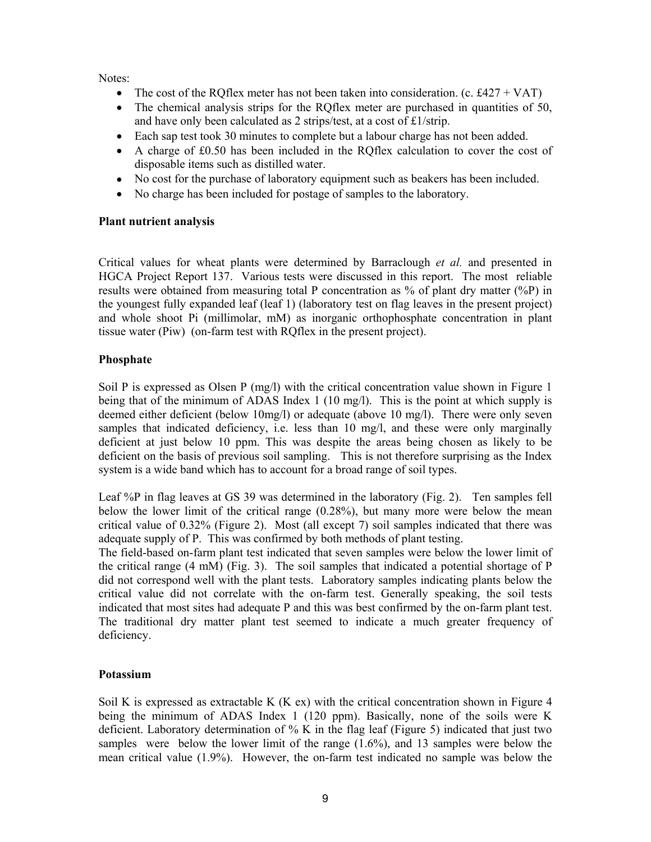Notes:

- The cost of the ROflex meter has not been taken into consideration. (c. £427 + VAT)
- The chemical analysis strips for the RQflex meter are purchased in quantities of 50, and have only been calculated as 2 strips/test, at a cost of £1/strip.
- Each sap test took 30 minutes to complete but a labour charge has not been added.
- A charge of £0.50 has been included in the RQflex calculation to cover the cost of disposable items such as distilled water.
- No cost for the purchase of laboratory equipment such as beakers has been included.
- No charge has been included for postage of samples to the laboratory.

## **Plant nutrient analysis**

Critical values for wheat plants were determined by Barraclough *et al.* and presented in HGCA Project Report 137. Various tests were discussed in this report. The most reliable results were obtained from measuring total P concentration as % of plant dry matter (%P) in the youngest fully expanded leaf (leaf 1) (laboratory test on flag leaves in the present project) and whole shoot Pi (millimolar, mM) as inorganic orthophosphate concentration in plant tissue water (Piw) (on-farm test with RQflex in the present project).

## **Phosphate**

Soil P is expressed as Olsen P (mg/l) with the critical concentration value shown in Figure 1 being that of the minimum of ADAS Index 1 (10 mg/l). This is the point at which supply is deemed either deficient (below 10mg/l) or adequate (above 10 mg/l). There were only seven samples that indicated deficiency, i.e. less than 10 mg/l, and these were only marginally deficient at just below 10 ppm. This was despite the areas being chosen as likely to be deficient on the basis of previous soil sampling. This is not therefore surprising as the Index system is a wide band which has to account for a broad range of soil types.

Leaf %P in flag leaves at GS 39 was determined in the laboratory (Fig. 2). Ten samples fell below the lower limit of the critical range (0.28%), but many more were below the mean critical value of 0.32% (Figure 2). Most (all except 7) soil samples indicated that there was adequate supply of P. This was confirmed by both methods of plant testing.

The field-based on-farm plant test indicated that seven samples were below the lower limit of the critical range (4 mM) (Fig. 3). The soil samples that indicated a potential shortage of P did not correspond well with the plant tests. Laboratory samples indicating plants below the critical value did not correlate with the on-farm test. Generally speaking, the soil tests indicated that most sites had adequate P and this was best confirmed by the on-farm plant test. The traditional dry matter plant test seemed to indicate a much greater frequency of deficiency.

## **Potassium**

Soil K is expressed as extractable K (K ex) with the critical concentration shown in Figure 4 being the minimum of ADAS Index 1 (120 ppm). Basically, none of the soils were K deficient. Laboratory determination of % K in the flag leaf (Figure 5) indicated that just two samples were below the lower limit of the range  $(1.6\%)$ , and 13 samples were below the mean critical value (1.9%). However, the on-farm test indicated no sample was below the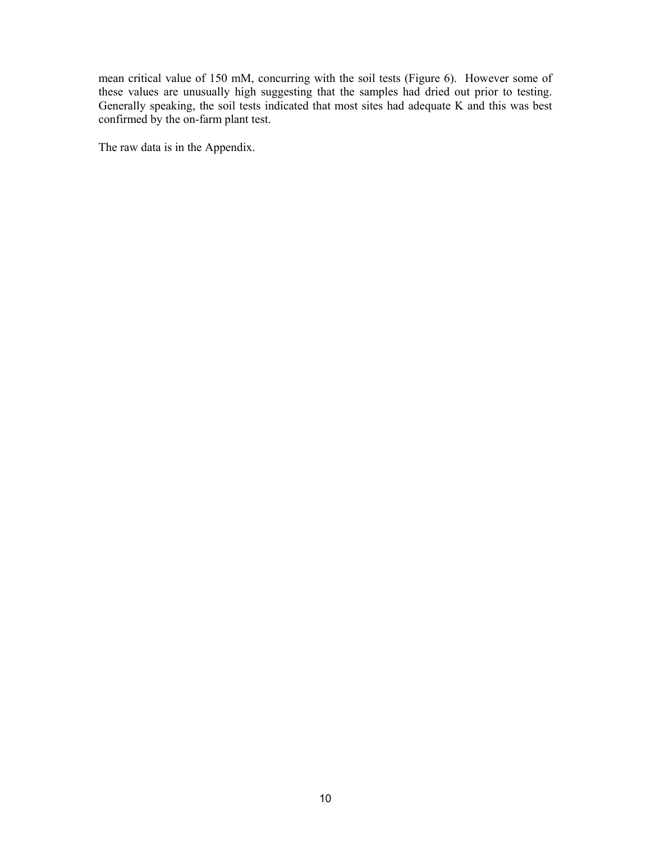mean critical value of 150 mM, concurring with the soil tests (Figure 6). However some of these values are unusually high suggesting that the samples had dried out prior to testing. Generally speaking, the soil tests indicated that most sites had adequate K and this was best confirmed by the on-farm plant test.

The raw data is in the Appendix.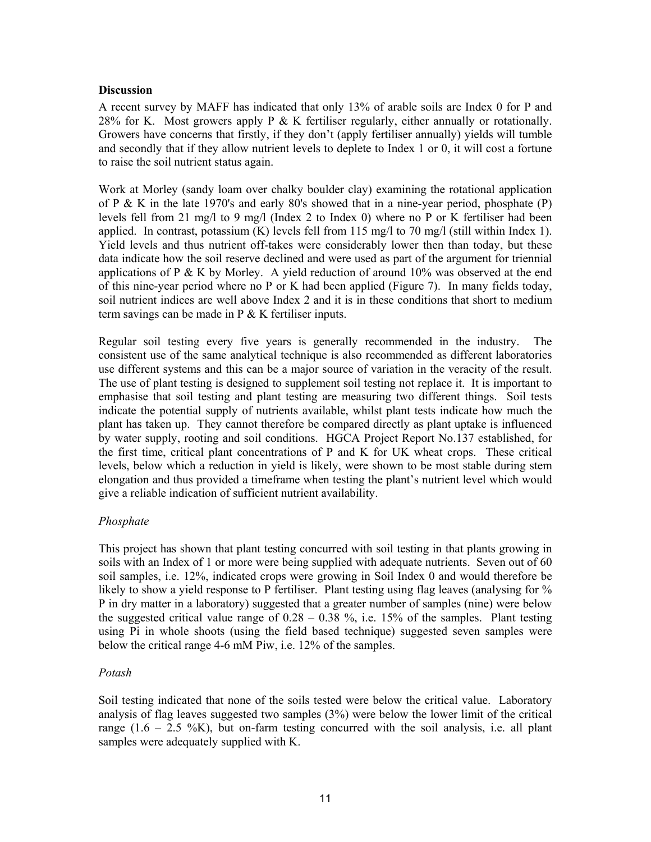## **Discussion**

A recent survey by MAFF has indicated that only 13% of arable soils are Index 0 for P and 28% for K. Most growers apply P & K fertiliser regularly, either annually or rotationally. Growers have concerns that firstly, if they don't (apply fertiliser annually) yields will tumble and secondly that if they allow nutrient levels to deplete to Index 1 or 0, it will cost a fortune to raise the soil nutrient status again.

Work at Morley (sandy loam over chalky boulder clay) examining the rotational application of P & K in the late 1970's and early 80's showed that in a nine-year period, phosphate (P) levels fell from 21 mg/l to 9 mg/l (Index 2 to Index 0) where no P or K fertiliser had been applied. In contrast, potassium  $(K)$  levels fell from 115 mg/l to 70 mg/l (still within Index 1). Yield levels and thus nutrient off-takes were considerably lower then than today, but these data indicate how the soil reserve declined and were used as part of the argument for triennial applications of P & K by Morley. A yield reduction of around  $10\%$  was observed at the end of this nine-year period where no P or K had been applied (Figure 7). In many fields today, soil nutrient indices are well above Index 2 and it is in these conditions that short to medium term savings can be made in P & K fertiliser inputs.

Regular soil testing every five years is generally recommended in the industry. The consistent use of the same analytical technique is also recommended as different laboratories use different systems and this can be a major source of variation in the veracity of the result. The use of plant testing is designed to supplement soil testing not replace it. It is important to emphasise that soil testing and plant testing are measuring two different things. Soil tests indicate the potential supply of nutrients available, whilst plant tests indicate how much the plant has taken up. They cannot therefore be compared directly as plant uptake is influenced by water supply, rooting and soil conditions. HGCA Project Report No.137 established, for the first time, critical plant concentrations of P and K for UK wheat crops. These critical levels, below which a reduction in yield is likely, were shown to be most stable during stem elongation and thus provided a timeframe when testing the plant's nutrient level which would give a reliable indication of sufficient nutrient availability.

## *Phosphate*

This project has shown that plant testing concurred with soil testing in that plants growing in soils with an Index of 1 or more were being supplied with adequate nutrients. Seven out of 60 soil samples, i.e. 12%, indicated crops were growing in Soil Index 0 and would therefore be likely to show a yield response to P fertiliser. Plant testing using flag leaves (analysing for % P in dry matter in a laboratory) suggested that a greater number of samples (nine) were below the suggested critical value range of  $0.28 - 0.38$  %, i.e. 15% of the samples. Plant testing using Pi in whole shoots (using the field based technique) suggested seven samples were below the critical range 4-6 mM Piw, i.e. 12% of the samples.

## *Potash*

Soil testing indicated that none of the soils tested were below the critical value. Laboratory analysis of flag leaves suggested two samples (3%) were below the lower limit of the critical range  $(1.6 - 2.5 \frac{\%}{\mathrm{K}})$ , but on-farm testing concurred with the soil analysis, i.e. all plant samples were adequately supplied with K.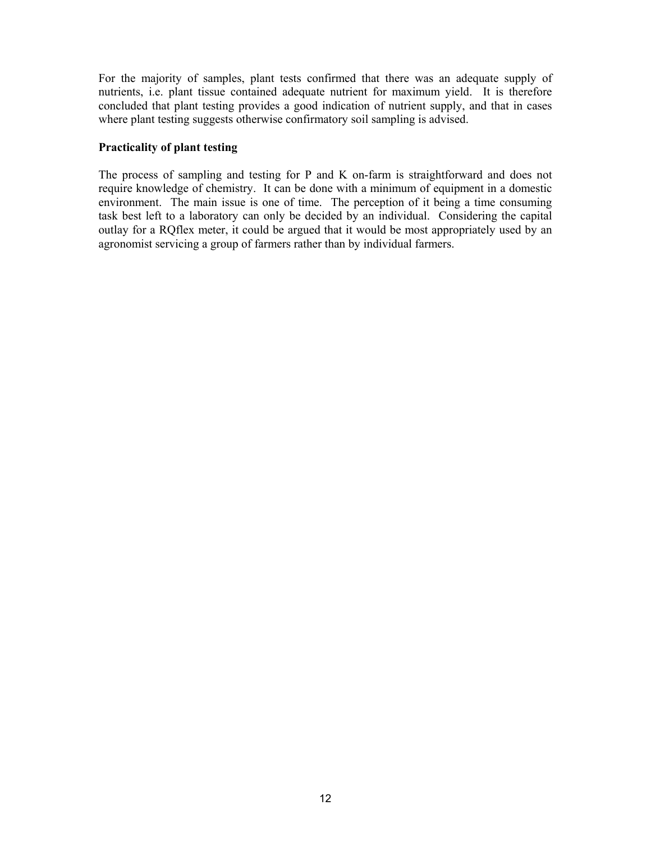For the majority of samples, plant tests confirmed that there was an adequate supply of nutrients, i.e. plant tissue contained adequate nutrient for maximum yield. It is therefore concluded that plant testing provides a good indication of nutrient supply, and that in cases where plant testing suggests otherwise confirmatory soil sampling is advised.

## **Practicality of plant testing**

The process of sampling and testing for P and K on-farm is straightforward and does not require knowledge of chemistry. It can be done with a minimum of equipment in a domestic environment. The main issue is one of time. The perception of it being a time consuming task best left to a laboratory can only be decided by an individual. Considering the capital outlay for a RQflex meter, it could be argued that it would be most appropriately used by an agronomist servicing a group of farmers rather than by individual farmers.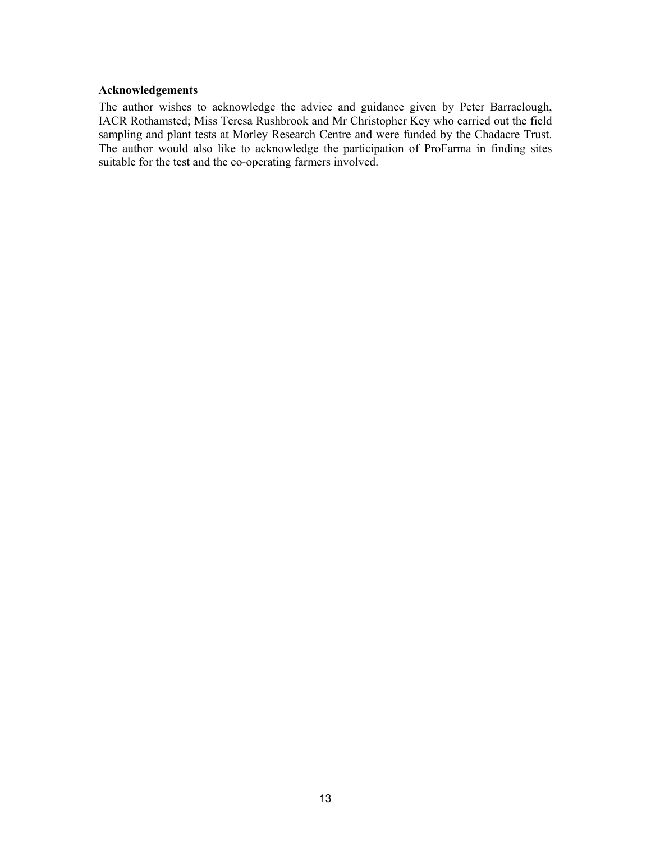#### **Acknowledgements**

The author wishes to acknowledge the advice and guidance given by Peter Barraclough, IACR Rothamsted; Miss Teresa Rushbrook and Mr Christopher Key who carried out the field sampling and plant tests at Morley Research Centre and were funded by the Chadacre Trust. The author would also like to acknowledge the participation of ProFarma in finding sites suitable for the test and the co-operating farmers involved.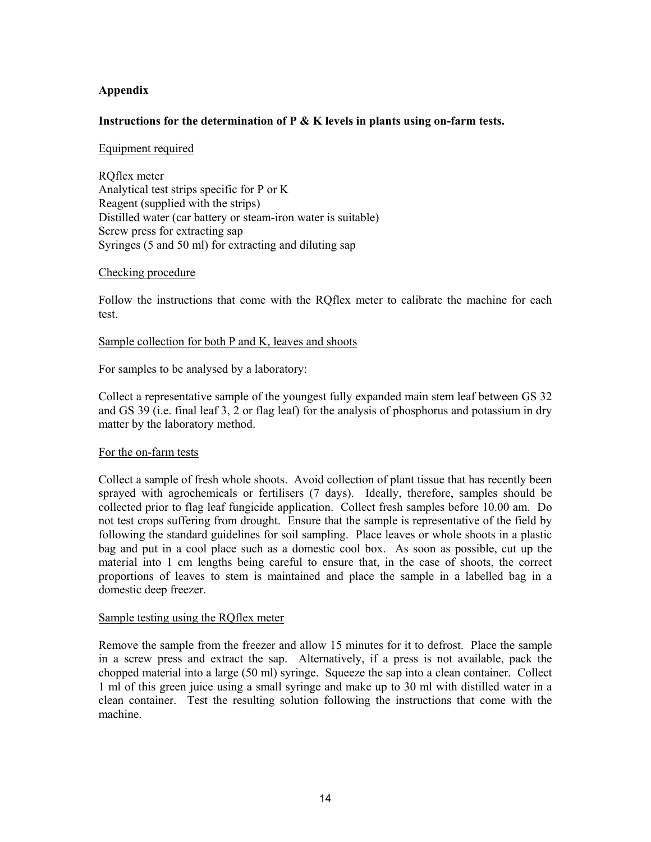## **Appendix**

#### **Instructions for the determination of P & K levels in plants using on-farm tests.**

#### Equipment required

RQflex meter Analytical test strips specific for P or K Reagent (supplied with the strips) Distilled water (car battery or steam-iron water is suitable) Screw press for extracting sap Syringes (5 and 50 ml) for extracting and diluting sap

#### Checking procedure

Follow the instructions that come with the RQflex meter to calibrate the machine for each test.

#### Sample collection for both P and K, leaves and shoots

For samples to be analysed by a laboratory:

Collect a representative sample of the youngest fully expanded main stem leaf between GS 32 and GS 39 (i.e. final leaf 3, 2 or flag leaf) for the analysis of phosphorus and potassium in dry matter by the laboratory method.

#### For the on-farm tests

Collect a sample of fresh whole shoots. Avoid collection of plant tissue that has recently been sprayed with agrochemicals or fertilisers (7 days). Ideally, therefore, samples should be collected prior to flag leaf fungicide application. Collect fresh samples before 10.00 am. Do not test crops suffering from drought. Ensure that the sample is representative of the field by following the standard guidelines for soil sampling. Place leaves or whole shoots in a plastic bag and put in a cool place such as a domestic cool box. As soon as possible, cut up the material into 1 cm lengths being careful to ensure that, in the case of shoots, the correct proportions of leaves to stem is maintained and place the sample in a labelled bag in a domestic deep freezer.

#### Sample testing using the RQflex meter

Remove the sample from the freezer and allow 15 minutes for it to defrost. Place the sample in a screw press and extract the sap. Alternatively, if a press is not available, pack the chopped material into a large (50 ml) syringe. Squeeze the sap into a clean container. Collect 1 ml of this green juice using a small syringe and make up to 30 ml with distilled water in a clean container. Test the resulting solution following the instructions that come with the machine.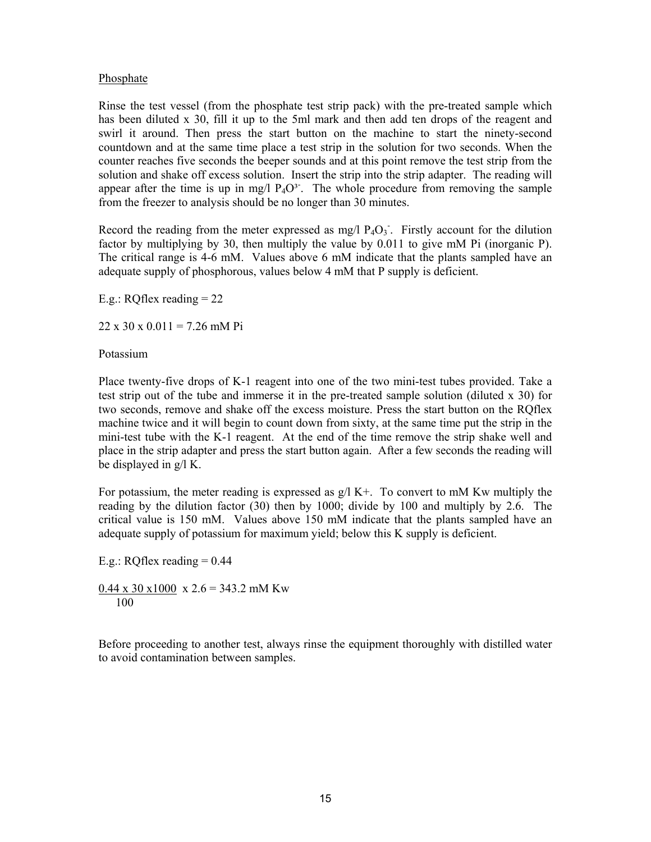## Phosphate

Rinse the test vessel (from the phosphate test strip pack) with the pre-treated sample which has been diluted x 30, fill it up to the 5ml mark and then add ten drops of the reagent and swirl it around. Then press the start button on the machine to start the ninety-second countdown and at the same time place a test strip in the solution for two seconds. When the counter reaches five seconds the beeper sounds and at this point remove the test strip from the solution and shake off excess solution. Insert the strip into the strip adapter. The reading will appear after the time is up in mg/l  $P_4O^3$ . The whole procedure from removing the sample from the freezer to analysis should be no longer than 30 minutes.

Record the reading from the meter expressed as mg/l  $P_4O_3$ . Firstly account for the dilution factor by multiplying by 30, then multiply the value by 0.011 to give mM Pi (inorganic P). The critical range is 4-6 mM. Values above 6 mM indicate that the plants sampled have an adequate supply of phosphorous, values below 4 mM that P supply is deficient.

E.g.: RQflex reading = 22

 $22 \times 30 \times 0.011 = 7.26$  mM Pi

Potassium

Place twenty-five drops of K-1 reagent into one of the two mini-test tubes provided. Take a test strip out of the tube and immerse it in the pre-treated sample solution (diluted x 30) for two seconds, remove and shake off the excess moisture. Press the start button on the RQflex machine twice and it will begin to count down from sixty, at the same time put the strip in the mini-test tube with the K-1 reagent. At the end of the time remove the strip shake well and place in the strip adapter and press the start button again. After a few seconds the reading will be displayed in g/l K.

For potassium, the meter reading is expressed as  $g/I K<sup>+</sup>$ . To convert to mM Kw multiply the reading by the dilution factor (30) then by 1000; divide by 100 and multiply by 2.6. The critical value is 150 mM. Values above 150 mM indicate that the plants sampled have an adequate supply of potassium for maximum yield; below this K supply is deficient.

E.g.: RQflex reading  $= 0.44$  $0.44 \times 30 \times 1000 \times 2.6 = 343.2 \text{ mM}$  Kw 100

Before proceeding to another test, always rinse the equipment thoroughly with distilled water to avoid contamination between samples.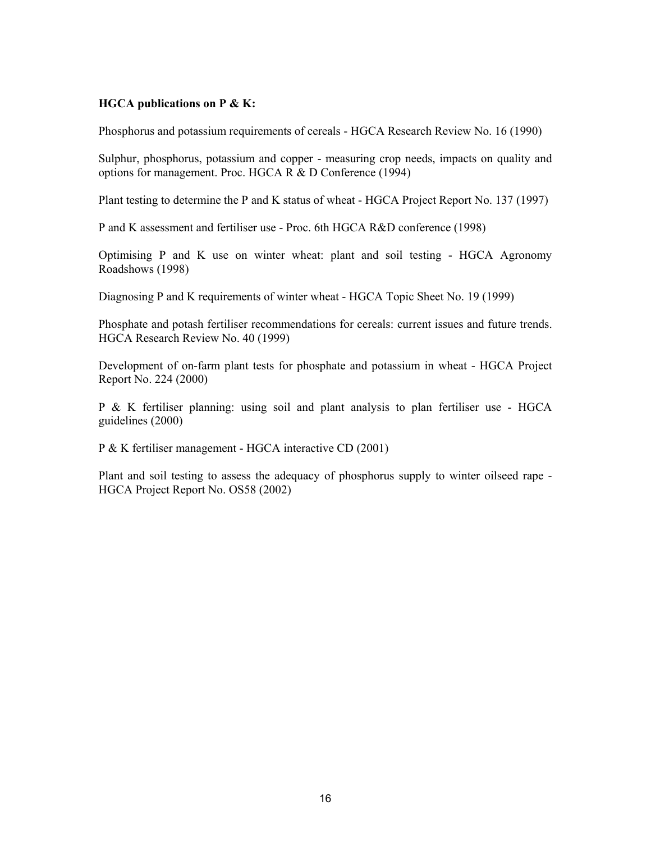## **HGCA publications on P & K:**

Phosphorus and potassium requirements of cereals - HGCA Research Review No. 16 (1990)

Sulphur, phosphorus, potassium and copper - measuring crop needs, impacts on quality and options for management. Proc. HGCA R & D Conference (1994)

Plant testing to determine the P and K status of wheat - HGCA Project Report No. 137 (1997)

P and K assessment and fertiliser use - Proc. 6th HGCA R&D conference (1998)

Optimising P and K use on winter wheat: plant and soil testing - HGCA Agronomy Roadshows (1998)

Diagnosing P and K requirements of winter wheat - HGCA Topic Sheet No. 19 (1999)

Phosphate and potash fertiliser recommendations for cereals: current issues and future trends. HGCA Research Review No. 40 (1999)

Development of on-farm plant tests for phosphate and potassium in wheat - HGCA Project Report No. 224 (2000)

P & K fertiliser planning: using soil and plant analysis to plan fertiliser use - HGCA guidelines (2000)

P & K fertiliser management - HGCA interactive CD (2001)

Plant and soil testing to assess the adequacy of phosphorus supply to winter oilseed rape - HGCA Project Report No. OS58 (2002)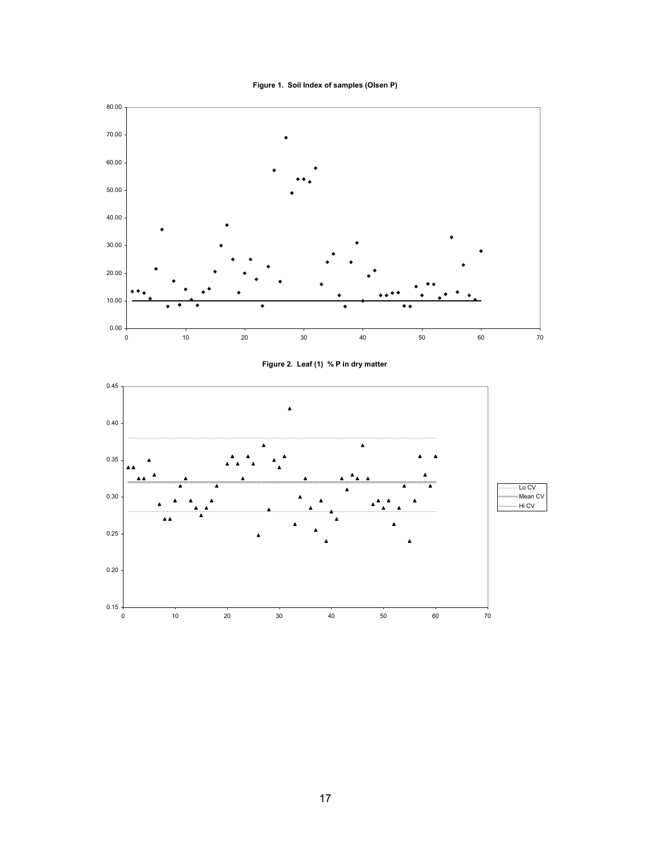

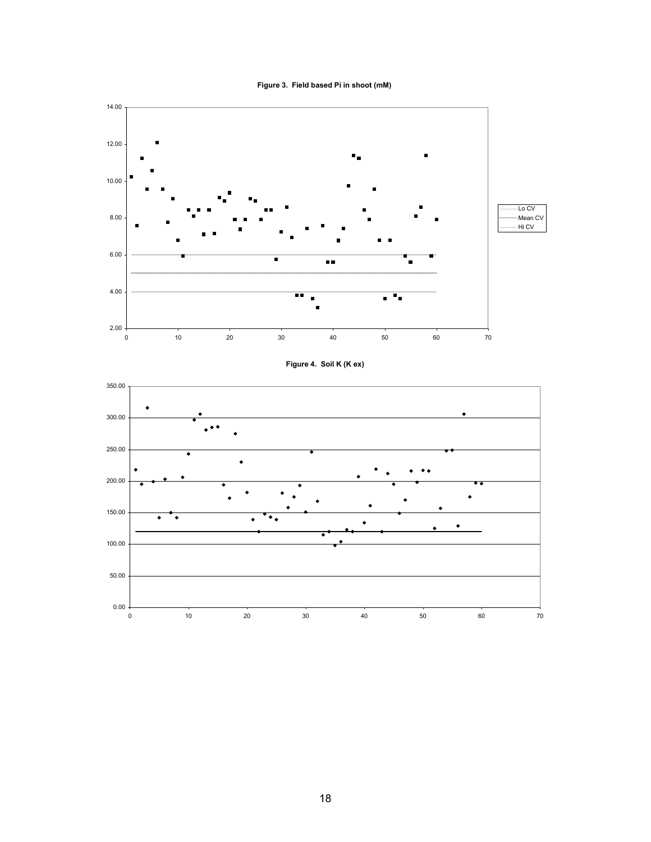



#### **Figure 4. Soil K (K ex)**

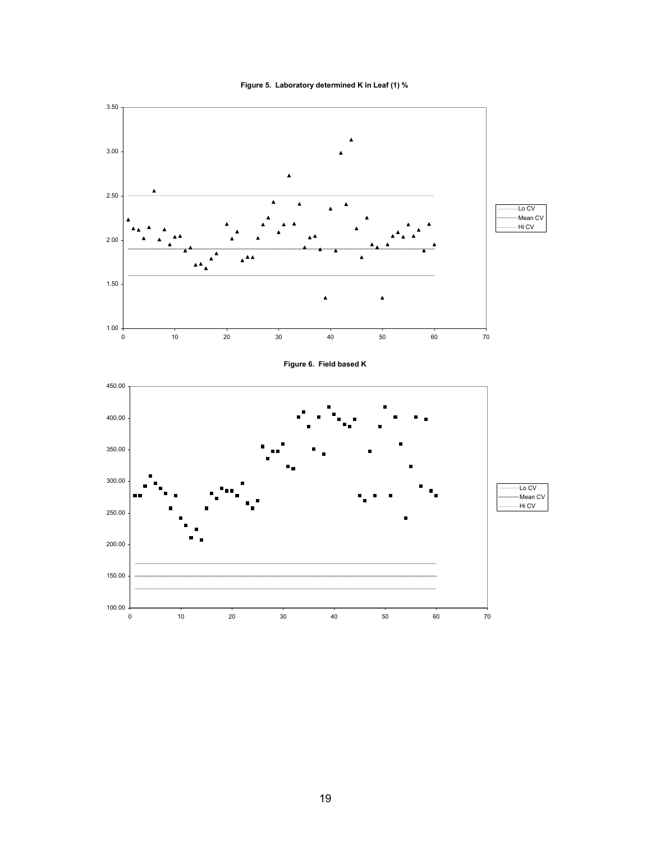



19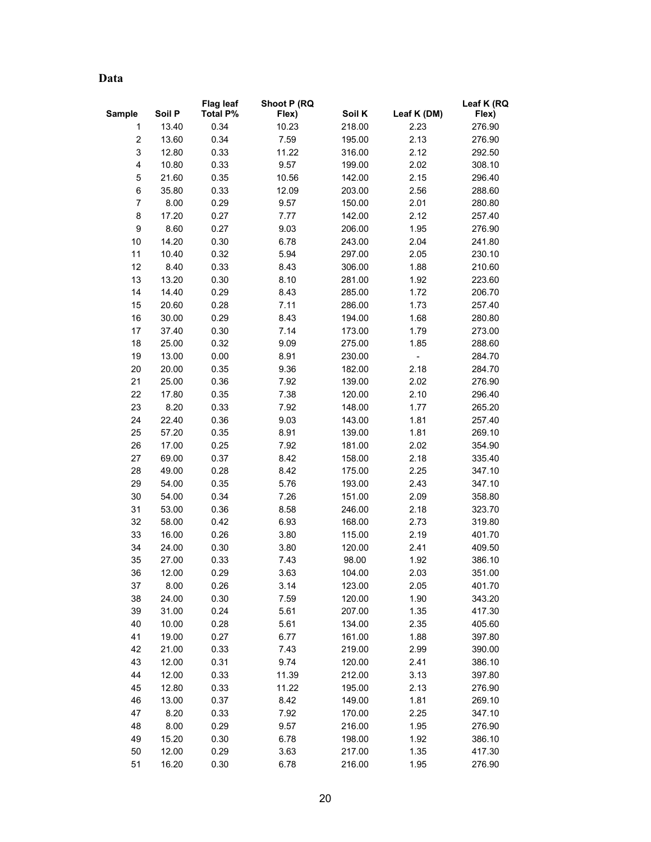**Data** 

|                         |        | <b>Flag leaf</b> | Shoot P (RQ |        |                          | Leaf K (RQ |
|-------------------------|--------|------------------|-------------|--------|--------------------------|------------|
| <b>Sample</b>           | Soil P | <b>Total P%</b>  | Flex)       | Soil K | Leaf K (DM)              | Flex)      |
| 1                       | 13.40  | 0.34             | 10.23       | 218.00 | 2.23                     | 276.90     |
| $\overline{\mathbf{c}}$ | 13.60  | 0.34             | 7.59        | 195.00 | 2.13                     | 276.90     |
| 3                       | 12.80  | 0.33             | 11.22       | 316.00 | 2.12                     | 292.50     |
| 4                       | 10.80  | 0.33             | 9.57        | 199.00 | 2.02                     | 308.10     |
| 5                       | 21.60  | 0.35             | 10.56       | 142.00 | 2.15                     | 296.40     |
| 6                       | 35.80  | 0.33             | 12.09       | 203.00 | 2.56                     | 288.60     |
| 7                       | 8.00   | 0.29             | 9.57        | 150.00 | 2.01                     | 280.80     |
| 8                       | 17.20  | 0.27             | 7.77        | 142.00 | 2.12                     | 257.40     |
| 9                       | 8.60   | 0.27             | 9.03        | 206.00 | 1.95                     | 276.90     |
| 10                      | 14.20  | 0.30             | 6.78        | 243.00 | 2.04                     | 241.80     |
| 11                      | 10.40  | 0.32             | 5.94        | 297.00 | 2.05                     | 230.10     |
| 12                      | 8.40   | 0.33             | 8.43        | 306.00 | 1.88                     | 210.60     |
| 13                      | 13.20  | 0.30             | 8.10        | 281.00 | 1.92                     | 223.60     |
| 14                      | 14.40  | 0.29             | 8.43        | 285.00 | 1.72                     | 206.70     |
| 15                      | 20.60  | 0.28             | 7.11        | 286.00 | 1.73                     | 257.40     |
| 16                      | 30.00  | 0.29             | 8.43        | 194.00 | 1.68                     | 280.80     |
| 17                      | 37.40  | 0.30             | 7.14        | 173.00 | 1.79                     | 273.00     |
| 18                      | 25.00  | 0.32             | 9.09        | 275.00 | 1.85                     | 288.60     |
| 19                      | 13.00  | 0.00             | 8.91        | 230.00 | $\overline{\phantom{0}}$ | 284.70     |
| 20                      | 20.00  | 0.35             | 9.36        | 182.00 | 2.18                     | 284.70     |
| 21                      | 25.00  | 0.36             | 7.92        | 139.00 | 2.02                     | 276.90     |
| 22                      | 17.80  | 0.35             | 7.38        | 120.00 | 2.10                     | 296.40     |
| 23                      | 8.20   | 0.33             | 7.92        | 148.00 | 1.77                     | 265.20     |
| 24                      | 22.40  | 0.36             | 9.03        | 143.00 | 1.81                     | 257.40     |
| 25                      | 57.20  | 0.35             | 8.91        | 139.00 | 1.81                     | 269.10     |
| 26                      | 17.00  | 0.25             | 7.92        | 181.00 | 2.02                     | 354.90     |
| 27                      | 69.00  | 0.37             | 8.42        | 158.00 | 2.18                     | 335.40     |
| 28                      | 49.00  | 0.28             | 8.42        | 175.00 | 2.25                     | 347.10     |
| 29                      | 54.00  | 0.35             | 5.76        | 193.00 | 2.43                     | 347.10     |
| 30                      | 54.00  | 0.34             | 7.26        | 151.00 | 2.09                     | 358.80     |
| 31                      | 53.00  | 0.36             | 8.58        | 246.00 | 2.18                     | 323.70     |
| 32                      | 58.00  | 0.42             | 6.93        | 168.00 | 2.73                     | 319.80     |
| 33                      | 16.00  | 0.26             | 3.80        | 115.00 | 2.19                     | 401.70     |
| 34                      | 24.00  | 0.30             | 3.80        | 120.00 | 2.41                     | 409.50     |
| 35                      | 27.00  | 0.33             | 7.43        | 98.00  | 1.92                     | 386.10     |
| 36                      | 12.00  | 0.29             | 3.63        | 104.00 | 2.03                     | 351.00     |
| 37                      | 8.00   | 0.26             | 3.14        | 123.00 | 2.05                     | 401.70     |
| 38                      | 24.00  | 0.30             | 7.59        | 120.00 | 1.90                     | 343.20     |
| 39                      | 31.00  | 0.24             | 5.61        | 207.00 | 1.35                     | 417.30     |
| 40                      | 10.00  | 0.28             | 5.61        | 134.00 | 2.35                     | 405.60     |
| 41                      | 19.00  | 0.27             | 6.77        | 161.00 | 1.88                     | 397.80     |
| 42                      | 21.00  | 0.33             | 7.43        | 219.00 | 2.99                     | 390.00     |
| 43                      | 12.00  | 0.31             | 9.74        | 120.00 | 2.41                     | 386.10     |
| 44                      | 12.00  | 0.33             | 11.39       | 212.00 | 3.13                     | 397.80     |
| 45                      | 12.80  | 0.33             | 11.22       | 195.00 | 2.13                     | 276.90     |
| 46                      | 13.00  | 0.37             | 8.42        | 149.00 | 1.81                     | 269.10     |
| 47                      | 8.20   | 0.33             | 7.92        | 170.00 | 2.25                     | 347.10     |
| 48                      | 8.00   | 0.29             | 9.57        | 216.00 | 1.95                     | 276.90     |
| 49                      | 15.20  | 0.30             | 6.78        | 198.00 | 1.92                     | 386.10     |
| 50                      | 12.00  | 0.29             | 3.63        | 217.00 | 1.35                     | 417.30     |
| 51                      | 16.20  | 0.30             | 6.78        | 216.00 | 1.95                     | 276.90     |